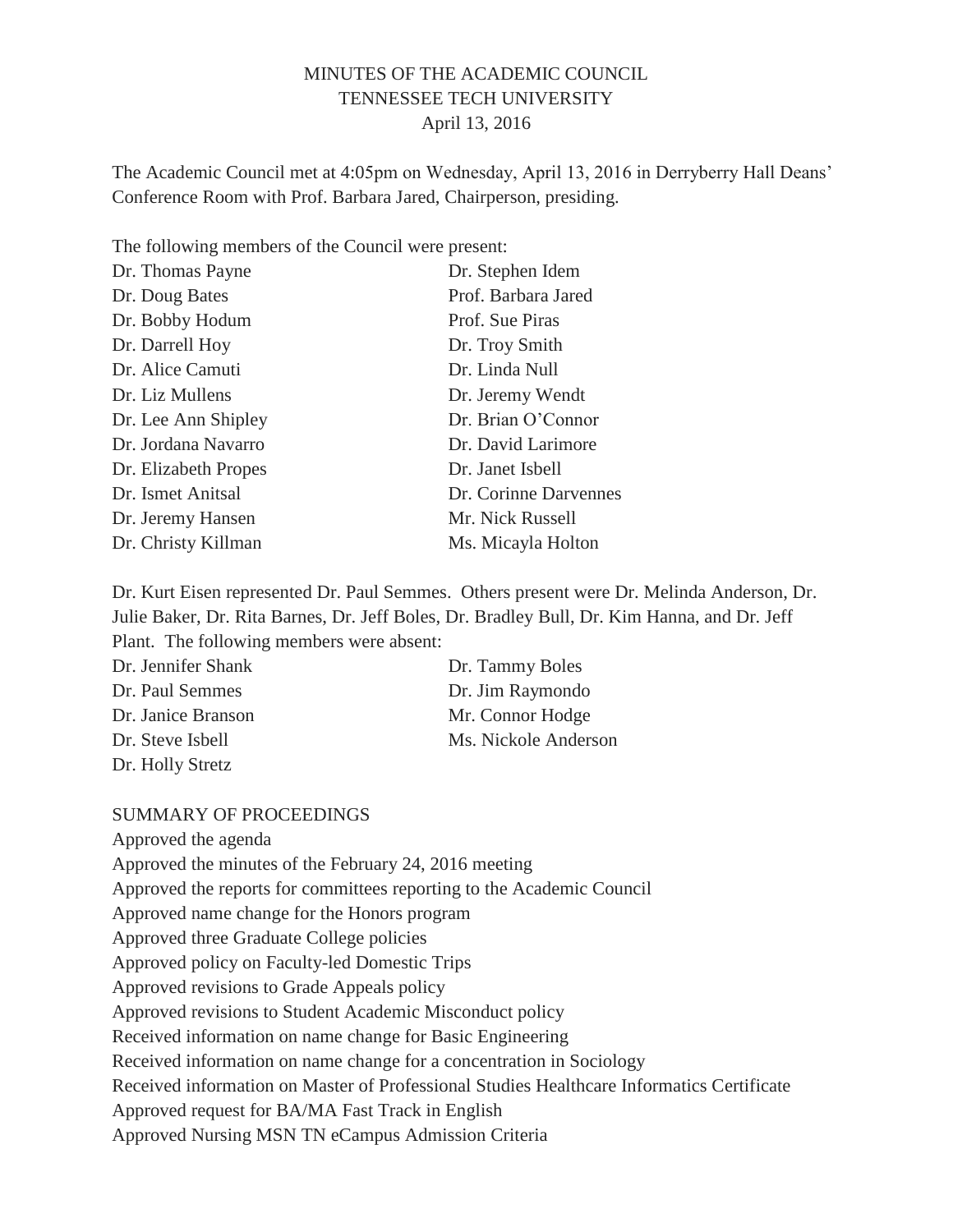## MINUTES OF THE ACADEMIC COUNCIL TENNESSEE TECH UNIVERSITY April 13, 2016

The Academic Council met at 4:05pm on Wednesday, April 13, 2016 in Derryberry Hall Deans' Conference Room with Prof. Barbara Jared, Chairperson, presiding.

The following members of the Council were present:

| Dr. Thomas Payne     | Dr. Stephen Idem      |
|----------------------|-----------------------|
| Dr. Doug Bates       | Prof. Barbara Jared   |
| Dr. Bobby Hodum      | Prof. Sue Piras       |
| Dr. Darrell Hoy      | Dr. Troy Smith        |
| Dr. Alice Camuti     | Dr. Linda Null        |
| Dr. Liz Mullens      | Dr. Jeremy Wendt      |
| Dr. Lee Ann Shipley  | Dr. Brian O'Connor    |
| Dr. Jordana Navarro  | Dr. David Larimore    |
| Dr. Elizabeth Propes | Dr. Janet Isbell      |
| Dr. Ismet Anitsal    | Dr. Corinne Darvennes |
| Dr. Jeremy Hansen    | Mr. Nick Russell      |
| Dr. Christy Killman  | Ms. Micayla Holton    |

Dr. Kurt Eisen represented Dr. Paul Semmes. Others present were Dr. Melinda Anderson, Dr. Julie Baker, Dr. Rita Barnes, Dr. Jeff Boles, Dr. Bradley Bull, Dr. Kim Hanna, and Dr. Jeff Plant. The following members were absent:

| Dr. Jennifer Shank | Dr. Tammy Boles      |
|--------------------|----------------------|
| Dr. Paul Semmes    | Dr. Jim Raymondo     |
| Dr. Janice Branson | Mr. Connor Hodge     |
| Dr. Steve Isbell   | Ms. Nickole Anderson |
| Dr. Holly Stretz   |                      |

### SUMMARY OF PROCEEDINGS

Approved the agenda Approved the minutes of the February 24, 2016 meeting Approved the reports for committees reporting to the Academic Council Approved name change for the Honors program Approved three Graduate College policies Approved policy on Faculty-led Domestic Trips Approved revisions to Grade Appeals policy Approved revisions to Student Academic Misconduct policy Received information on name change for Basic Engineering Received information on name change for a concentration in Sociology Received information on Master of Professional Studies Healthcare Informatics Certificate Approved request for BA/MA Fast Track in English Approved Nursing MSN TN eCampus Admission Criteria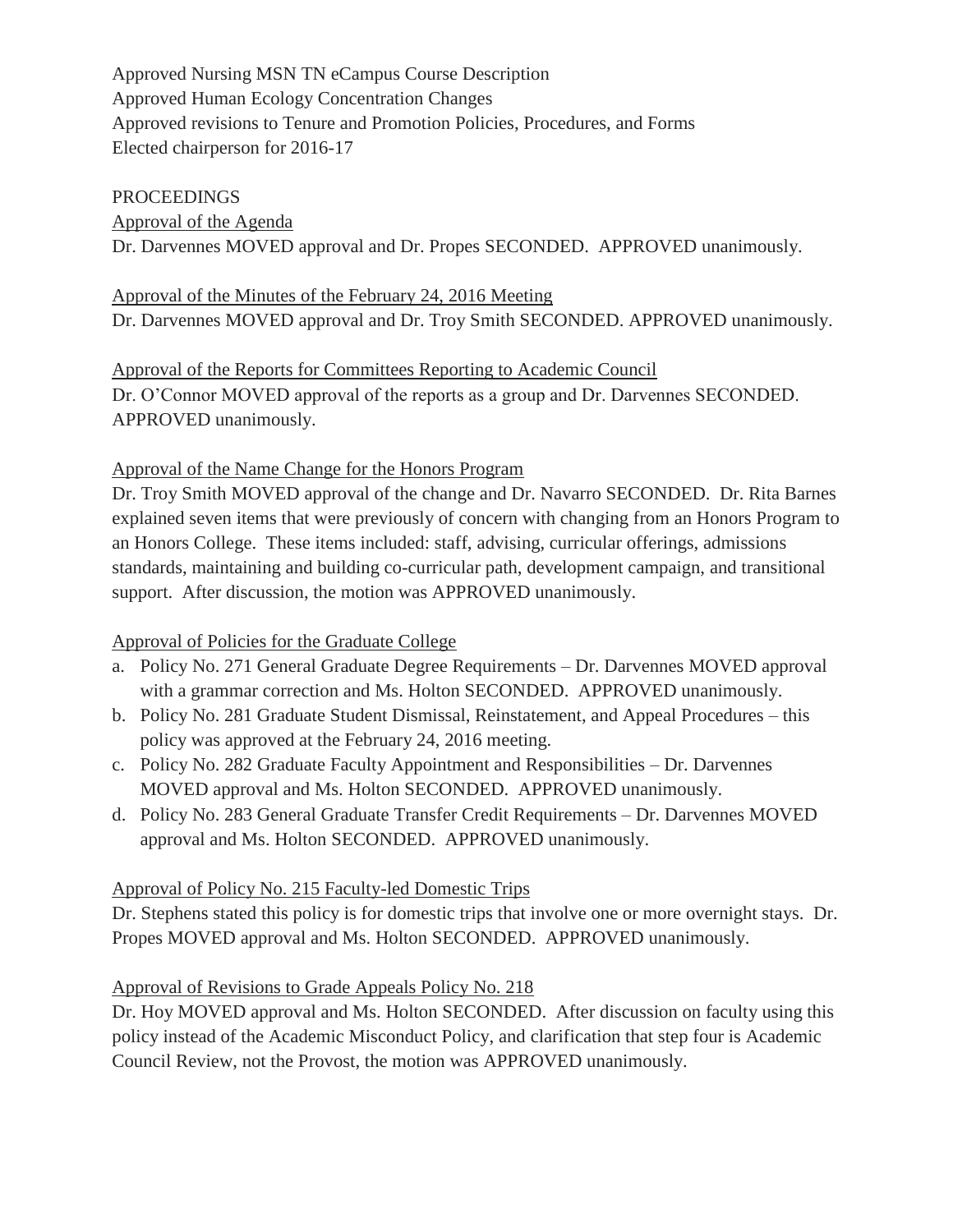Approved Nursing MSN TN eCampus Course Description Approved Human Ecology Concentration Changes Approved revisions to Tenure and Promotion Policies, Procedures, and Forms Elected chairperson for 2016-17

#### PROCEEDINGS

Approval of the Agenda Dr. Darvennes MOVED approval and Dr. Propes SECONDED. APPROVED unanimously.

#### Approval of the Minutes of the February 24, 2016 Meeting

Dr. Darvennes MOVED approval and Dr. Troy Smith SECONDED. APPROVED unanimously.

# Approval of the Reports for Committees Reporting to Academic Council Dr. O'Connor MOVED approval of the reports as a group and Dr. Darvennes SECONDED. APPROVED unanimously.

### Approval of the Name Change for the Honors Program

Dr. Troy Smith MOVED approval of the change and Dr. Navarro SECONDED. Dr. Rita Barnes explained seven items that were previously of concern with changing from an Honors Program to an Honors College. These items included: staff, advising, curricular offerings, admissions standards, maintaining and building co-curricular path, development campaign, and transitional support. After discussion, the motion was APPROVED unanimously.

### Approval of Policies for the Graduate College

- a. Policy No. 271 General Graduate Degree Requirements Dr. Darvennes MOVED approval with a grammar correction and Ms. Holton SECONDED. APPROVED unanimously.
- b. Policy No. 281 Graduate Student Dismissal, Reinstatement, and Appeal Procedures this policy was approved at the February 24, 2016 meeting.
- c. Policy No. 282 Graduate Faculty Appointment and Responsibilities Dr. Darvennes MOVED approval and Ms. Holton SECONDED. APPROVED unanimously.
- d. Policy No. 283 General Graduate Transfer Credit Requirements Dr. Darvennes MOVED approval and Ms. Holton SECONDED. APPROVED unanimously.

### Approval of Policy No. 215 Faculty-led Domestic Trips

Dr. Stephens stated this policy is for domestic trips that involve one or more overnight stays. Dr. Propes MOVED approval and Ms. Holton SECONDED. APPROVED unanimously.

### Approval of Revisions to Grade Appeals Policy No. 218

Dr. Hoy MOVED approval and Ms. Holton SECONDED. After discussion on faculty using this policy instead of the Academic Misconduct Policy, and clarification that step four is Academic Council Review, not the Provost, the motion was APPROVED unanimously.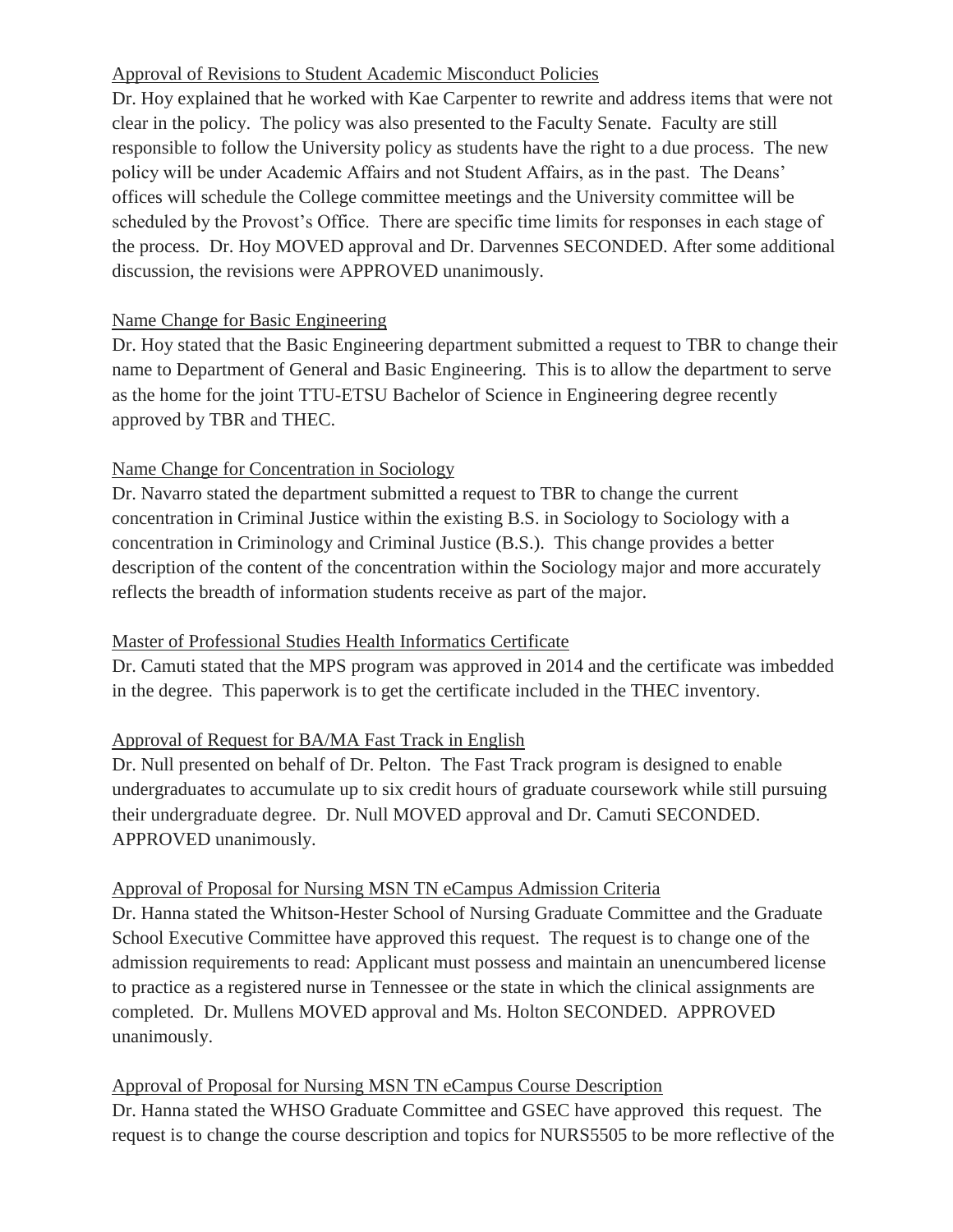# Approval of Revisions to Student Academic Misconduct Policies

Dr. Hoy explained that he worked with Kae Carpenter to rewrite and address items that were not clear in the policy. The policy was also presented to the Faculty Senate. Faculty are still responsible to follow the University policy as students have the right to a due process. The new policy will be under Academic Affairs and not Student Affairs, as in the past. The Deans' offices will schedule the College committee meetings and the University committee will be scheduled by the Provost's Office. There are specific time limits for responses in each stage of the process. Dr. Hoy MOVED approval and Dr. Darvennes SECONDED. After some additional discussion, the revisions were APPROVED unanimously.

## Name Change for Basic Engineering

Dr. Hoy stated that the Basic Engineering department submitted a request to TBR to change their name to Department of General and Basic Engineering. This is to allow the department to serve as the home for the joint TTU-ETSU Bachelor of Science in Engineering degree recently approved by TBR and THEC.

## Name Change for Concentration in Sociology

Dr. Navarro stated the department submitted a request to TBR to change the current concentration in Criminal Justice within the existing B.S. in Sociology to Sociology with a concentration in Criminology and Criminal Justice (B.S.). This change provides a better description of the content of the concentration within the Sociology major and more accurately reflects the breadth of information students receive as part of the major.

# Master of Professional Studies Health Informatics Certificate

Dr. Camuti stated that the MPS program was approved in 2014 and the certificate was imbedded in the degree. This paperwork is to get the certificate included in the THEC inventory.

# Approval of Request for BA/MA Fast Track in English

Dr. Null presented on behalf of Dr. Pelton. The Fast Track program is designed to enable undergraduates to accumulate up to six credit hours of graduate coursework while still pursuing their undergraduate degree. Dr. Null MOVED approval and Dr. Camuti SECONDED. APPROVED unanimously.

### Approval of Proposal for Nursing MSN TN eCampus Admission Criteria

Dr. Hanna stated the Whitson-Hester School of Nursing Graduate Committee and the Graduate School Executive Committee have approved this request. The request is to change one of the admission requirements to read: Applicant must possess and maintain an unencumbered license to practice as a registered nurse in Tennessee or the state in which the clinical assignments are completed. Dr. Mullens MOVED approval and Ms. Holton SECONDED. APPROVED unanimously.

### Approval of Proposal for Nursing MSN TN eCampus Course Description

Dr. Hanna stated the WHSO Graduate Committee and GSEC have approved this request. The request is to change the course description and topics for NURS5505 to be more reflective of the